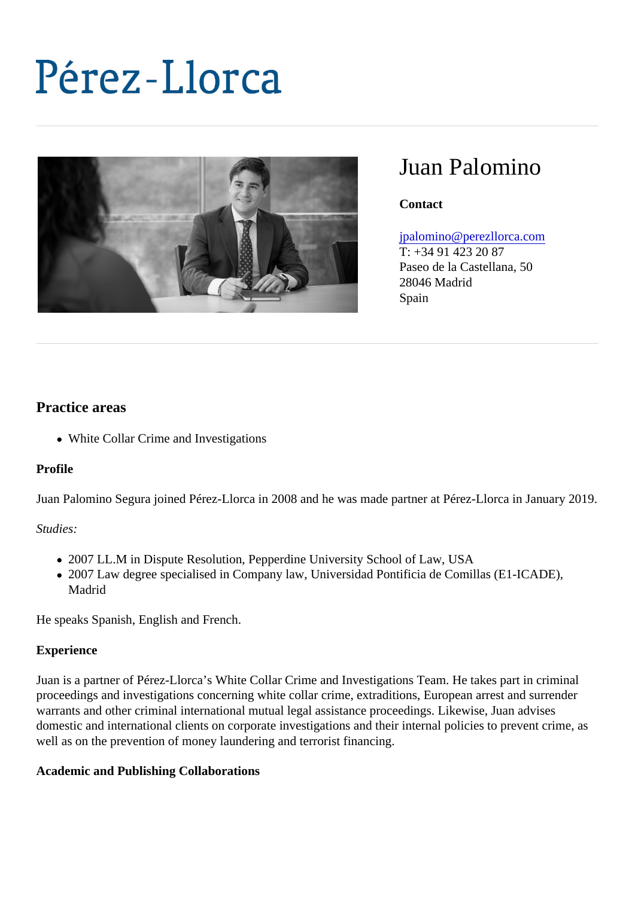# Juan Palomino

**Contact** 

[jpalomino@perezllorca.co](mailto:jpalomino@perezllorca.com)m

T: +34 91 423 20 87 Paseo de la Castellana, 50 28046 Madrid Spain

## Practice areas

White Collar Crime and Investigations

Profile

Juan Palomino Segura joined Pérez-Llorca in 2008 and he was made partner at Pérez-Llorca in January 2

Studies:

- 2007 LL.M in Dispute Resolution, Pepperdine University School of Law, USA
- 2007 Law degree specialised in Company law, Universidad Pontificia de Comillas (E1-ICADE), Madrid

He speaks Spanish, English and French.

#### **Experience**

Juan is a partner of Pérez-Llorca's White Collar Crime and Investigations Team. He takes part in criminal proceedings and investigations concerning white collar crime, extraditions, European arrest and surrender warrants and other criminal international mutual legal assistance proceedings. Likewise, Juan advises domestic and international clients on corporate investigations and their internal policies to prevent crime, a well as on the prevention of money laundering and terrorist financing.

Academic and Publishing Collaborations